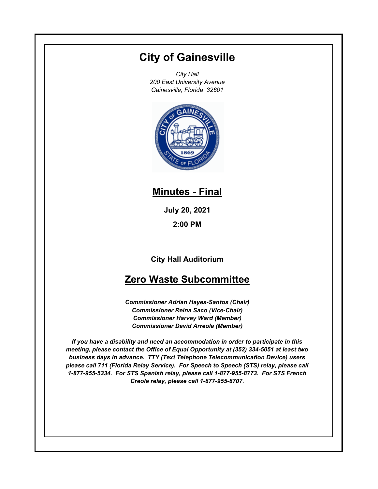# **City of Gainesville**

*City Hall 200 East University Avenue Gainesville, Florida 32601*



# **Minutes - Final**

**July 20, 2021**

**2:00 PM**

**City Hall Auditorium**

# **Zero Waste Subcommittee**

*Commissioner Adrian Hayes-Santos (Chair) Commissioner Reina Saco (Vice-Chair) Commissioner Harvey Ward (Member) Commissioner David Arreola (Member)*

*If you have a disability and need an accommodation in order to participate in this meeting, please contact the Office of Equal Opportunity at (352) 334-5051 at least two business days in advance. TTY (Text Telephone Telecommunication Device) users please call 711 (Florida Relay Service). For Speech to Speech (STS) relay, please call 1-877-955-5334. For STS Spanish relay, please call 1-877-955-8773. For STS French Creole relay, please call 1-877-955-8707.*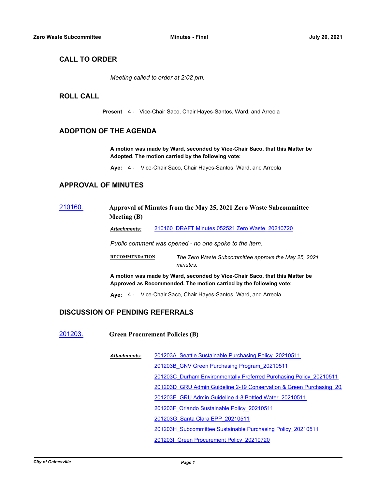### **CALL TO ORDER**

*Meeting called to order at 2:02 pm.*

#### **ROLL CALL**

**Present** 4 - Vice-Chair Saco, Chair Hayes-Santos, Ward, and Arreola

#### **ADOPTION OF THE AGENDA**

**A motion was made by Ward, seconded by Vice-Chair Saco, that this Matter be Adopted. The motion carried by the following vote:**

**Aye:** 4 - Vice-Chair Saco, Chair Hayes-Santos, Ward, and Arreola

#### **APPROVAL OF MINUTES**

#### [210160.](http://gainesville.legistar.com/gateway.aspx?m=l&id=/matter.aspx?key=32944) **Approval of Minutes from the May 25, 2021 Zero Waste Subcommittee Meeting (B)**

*Attachments:* [210160\\_DRAFT Minutes 052521 Zero Waste\\_20210720](http://Gainesville.legistar.com/gateway.aspx?M=F&ID=0d941c10-c4f2-4788-840c-b5bd25f55ae4.pdf)

*Public comment was opened - no one spoke to the item.*

**RECOMMENDATION** *The Zero Waste Subcommittee approve the May 25, 2021 minutes.*

**A motion was made by Ward, seconded by Vice-Chair Saco, that this Matter be Approved as Recommended. The motion carried by the following vote:**

**Aye:** 4 - Vice-Chair Saco, Chair Hayes-Santos, Ward, and Arreola

#### **DISCUSSION OF PENDING REFERRALS**

[201203.](http://gainesville.legistar.com/gateway.aspx?m=l&id=/matter.aspx?key=32746) **Green Procurement Policies (B)**

[201203A\\_Seattle Sustainable Purchasing Policy\\_20210511](http://Gainesville.legistar.com/gateway.aspx?M=F&ID=d3250cbc-29c3-4a59-bb87-eaf0991c09e6.pdf) [201203B\\_GNV Green Purchasing Program\\_20210511](http://Gainesville.legistar.com/gateway.aspx?M=F&ID=37490e7c-9791-4b09-b77b-8e368f63b39c.pdf) [201203C\\_Durham Environmentally Preferred Purchasing Policy\\_20210511](http://Gainesville.legistar.com/gateway.aspx?M=F&ID=42acb884-d306-4954-9f34-8c53a5a5a441.pdf) 201203D\_GRU Admin Guideline 2-19 Conservation & Green Purchasing 2021 [201203E\\_GRU Admin Guideline 4-8 Bottled Water\\_20210511](http://Gainesville.legistar.com/gateway.aspx?M=F&ID=e85db373-d402-44f7-a067-d8399c91e0ec.pdf) [201203F\\_Orlando Sustainable Policy\\_20210511](http://Gainesville.legistar.com/gateway.aspx?M=F&ID=37c824e7-c919-4e2d-abf0-de38fdf3b7f8.pdf) [201203G\\_Santa Clara EPP\\_20210511](http://Gainesville.legistar.com/gateway.aspx?M=F&ID=c3101a59-c5cf-4a23-aeec-5b5c7733c32e.pdf) [201203H\\_Subcommittee Sustainable Purchasing Policy\\_20210511](http://Gainesville.legistar.com/gateway.aspx?M=F&ID=d20770b6-56da-409c-9076-5d19ae1a7d8e.pdf) [201203I\\_Green Procurement Policy\\_20210720](http://Gainesville.legistar.com/gateway.aspx?M=F&ID=79a43408-6a06-42ce-ab42-c62ecd5ec795.pdf) *Attachments:*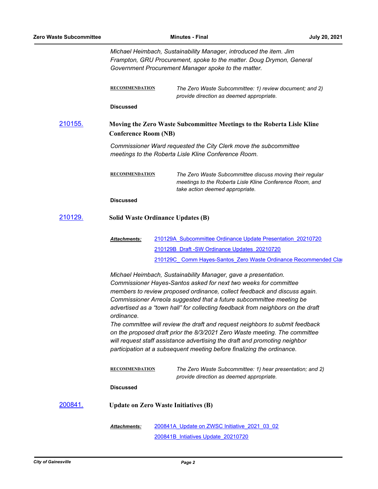|         | Michael Heimbach, Sustainability Manager, introduced the item. Jim<br>Frampton, GRU Procurement, spoke to the matter. Doug Drymon, General<br>Government Procurement Manager spoke to the matter.                                                                                                                                                                                                                                                                                                                                                                                                                                                                                                              |  |                                                                                                                                                         |  |
|---------|----------------------------------------------------------------------------------------------------------------------------------------------------------------------------------------------------------------------------------------------------------------------------------------------------------------------------------------------------------------------------------------------------------------------------------------------------------------------------------------------------------------------------------------------------------------------------------------------------------------------------------------------------------------------------------------------------------------|--|---------------------------------------------------------------------------------------------------------------------------------------------------------|--|
|         | <b>RECOMMENDATION</b>                                                                                                                                                                                                                                                                                                                                                                                                                                                                                                                                                                                                                                                                                          |  | The Zero Waste Subcommittee: 1) review document; and 2)<br>provide direction as deemed appropriate.                                                     |  |
|         | <b>Discussed</b>                                                                                                                                                                                                                                                                                                                                                                                                                                                                                                                                                                                                                                                                                               |  |                                                                                                                                                         |  |
| 210155. | Moving the Zero Waste Subcommittee Meetings to the Roberta Lisle Kline<br><b>Conference Room (NB)</b>                                                                                                                                                                                                                                                                                                                                                                                                                                                                                                                                                                                                          |  |                                                                                                                                                         |  |
|         | Commissioner Ward requested the City Clerk move the subcommittee<br>meetings to the Roberta Lisle Kline Conference Room.                                                                                                                                                                                                                                                                                                                                                                                                                                                                                                                                                                                       |  |                                                                                                                                                         |  |
|         | <b>RECOMMENDATION</b>                                                                                                                                                                                                                                                                                                                                                                                                                                                                                                                                                                                                                                                                                          |  | The Zero Waste Subcommittee discuss moving their regular<br>meetings to the Roberta Lisle Kline Conference Room, and<br>take action deemed appropriate. |  |
|         | <b>Discussed</b>                                                                                                                                                                                                                                                                                                                                                                                                                                                                                                                                                                                                                                                                                               |  |                                                                                                                                                         |  |
| 210129. | <b>Solid Waste Ordinance Updates (B)</b>                                                                                                                                                                                                                                                                                                                                                                                                                                                                                                                                                                                                                                                                       |  |                                                                                                                                                         |  |
|         | Attachments:                                                                                                                                                                                                                                                                                                                                                                                                                                                                                                                                                                                                                                                                                                   |  | 210129A Subcommittee Ordinance Update Presentation 20210720<br>210129B Draft - SW Ordinance Updates 20210720                                            |  |
|         |                                                                                                                                                                                                                                                                                                                                                                                                                                                                                                                                                                                                                                                                                                                |  | 210129C Comm Hayes-Santos Zero Waste Ordinance Recommended Clar                                                                                         |  |
|         | Michael Heimbach, Sustainability Manager, gave a presentation.<br>Commissioner Hayes-Santos asked for next two weeks for committee<br>members to review proposed ordinance, collect feedback and discuss again.<br>Commissioner Arreola suggested that a future subcommittee meeting be<br>advertised as a "town hall" for collecting feedback from neighbors on the draft<br>ordinance.<br>The committee will review the draft and request neighbors to submit feedback<br>on the proposed draft prior the 8/3/2021 Zero Waste meeting. The committee<br>will request staff assistance advertising the draft and promoting neighbor<br>participation at a subsequent meeting before finalizing the ordinance. |  |                                                                                                                                                         |  |
|         | <b>RECOMMENDATION</b>                                                                                                                                                                                                                                                                                                                                                                                                                                                                                                                                                                                                                                                                                          |  | The Zero Waste Subcommittee: 1) hear presentation; and 2)<br>provide direction as deemed appropriate.                                                   |  |
|         | <b>Discussed</b>                                                                                                                                                                                                                                                                                                                                                                                                                                                                                                                                                                                                                                                                                               |  |                                                                                                                                                         |  |
| 200841. | <b>Update on Zero Waste Initiatives (B)</b>                                                                                                                                                                                                                                                                                                                                                                                                                                                                                                                                                                                                                                                                    |  |                                                                                                                                                         |  |
|         | Attachments:                                                                                                                                                                                                                                                                                                                                                                                                                                                                                                                                                                                                                                                                                                   |  | 200841A Update on ZWSC Initiative 2021 03 02<br>200841B Intiatives Update 20210720                                                                      |  |